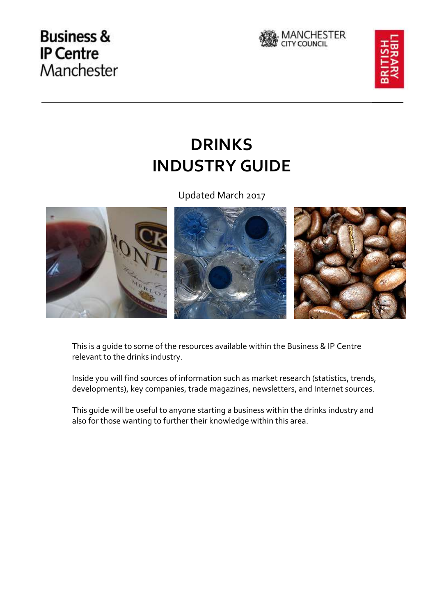## **Business & IP Centre** Manchester





# **DRINKS INDUSTRY GUIDE**

Updated March 2017



This is a guide to some of the resources available within the Business & IP Centre relevant to the drinks industry.

Inside you will find sources of information such as market research (statistics, trends, developments), key companies, trade magazines, newsletters, and Internet sources.

This guide will be useful to anyone starting a business within the drinks industry and also for those wanting to further their knowledge within this area.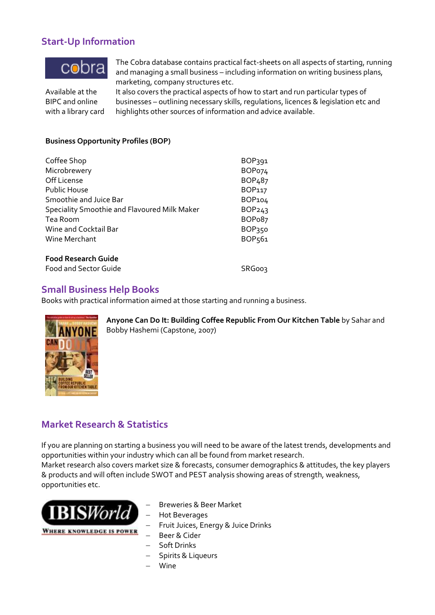## **Start-Up Information**



The Cobra database contains practical fact-sheets on all aspects of starting, running and managing a small business – including information on writing business plans, marketing, company structures etc.

Available at the BIPC and online with a library card

It also covers the practical aspects of how to start and run particular types of businesses – outlining necessary skills, regulations, licences & legislation etc and highlights other sources of information and advice available.

### **Business Opportunity Profiles (BOP)**

| Coffee Shop<br>Microbrewery                   | BOP391<br>BOP <sub>074</sub> |
|-----------------------------------------------|------------------------------|
|                                               |                              |
| <b>Public House</b><br>Smoothie and Juice Bar | BOP117<br>BOP104             |
|                                               |                              |
| Tea Room                                      | BOP <sub>0</sub> 87          |
| Wine and Cocktail Bar                         | BOP350                       |
| Wine Merchant                                 | BOP <sub>561</sub>           |
| <b>Food Research Guide</b>                    |                              |
| <b>Food and Sector Guide</b>                  | <b>SRG003</b>                |

## **Small Business Help Books**

Books with practical information aimed at those starting and running a business.



**Anyone Can Do It: Building Coffee Republic From Our Kitchen Table** by Sahar and Bobby Hashemi (Capstone, 2007)

## **Market Research & Statistics**

If you are planning on starting a business you will need to be aware of the latest trends, developments and opportunities within your industry which can all be found from market research.

Market research also covers market size & forecasts, consumer demographics & attitudes, the key players & products and will often include SWOT and PEST analysis showing areas of strength, weakness, opportunities etc.



- Breweries & Beer Market
- Hot Beverages
- Fruit Juices, Energy & Juice Drinks
- Beer & Cider
- Soft Drinks
- Spirits & Liqueurs
- Wine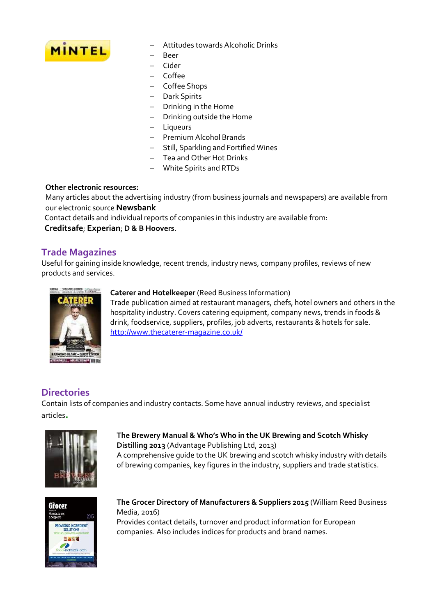

- Attitudes towards Alcoholic Drinks
- Beer
- Cider
- Coffee
	- Coffee Shops
	- Dark Spirits
	- Drinking in the Home
	- Drinking outside the Home
	- Liqueurs
	- Premium Alcohol Brands
	- Still, Sparkling and Fortified Wines
	- Tea and Other Hot Drinks
	- White Spirits and RTDs

#### **Other electronic resources:**

Many articles about the advertising industry (from business journals and newspapers) are available from our electronic source **Newsbank**

Contact details and individual reports of companies in this industry are available from:

**Creditsafe**; **Experian**; **D & B Hoovers**.

## **Trade Magazines**

Useful for gaining inside knowledge, recent trends, industry news, company profiles, reviews of new products and services.



#### **Caterer and Hotelkeeper** (Reed Business Information)

Trade publication aimed at restaurant managers, chefs, hotel owners and others in the hospitality industry. Covers catering equipment, company news, trends in foods & drink, foodservice, suppliers, profiles, job adverts, restaurants & hotels for sale. <http://www.thecaterer-magazine.co.uk/>

## **Directories**

Contain lists of companies and industry contacts. Some have annual industry reviews, and specialist articles**.**



**[The Brewery Manual & Who's Who in the UK Brewing and Scotch Whisky](http://www.bl.uk/BisDiscovery/UI/%20%20%20%20%20%20%20%20%20%20%20%20Record.aspx?RecordId=005-000005201)  [Distilling 201](http://www.bl.uk/BisDiscovery/UI/%20%20%20%20%20%20%20%20%20%20%20%20Record.aspx?RecordId=005-000005201)3** (Advantage Publishing Ltd, 2013) A comprehensive guide to the UK brewing and scotch whisky industry with details

of brewing companies, key figures in the industry, suppliers and trade statistics.



**The Grocer Directory of Manufacturers & Suppliers 2015** (William Reed Business Media, 2016) Provides contact details, turnover and product information for European companies. Also includes indices for products and brand names.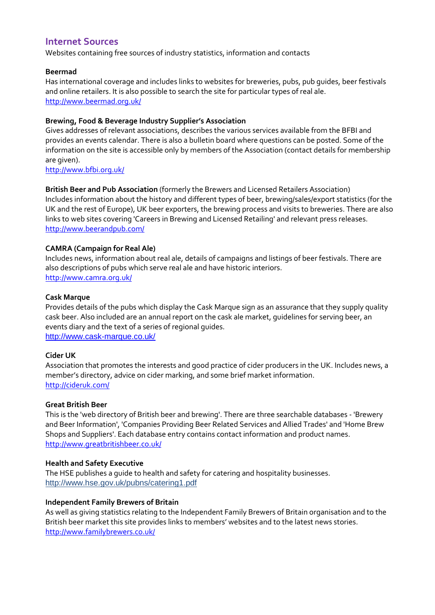## **Internet Sources**

Websites containing free sources of industry statistics, information and contacts

#### **[Beermad](http://www.beermad.org.uk/)**

Has international coverage and includes links to websites for breweries, pubs, pub guides, beer festivals and online retailers. It is also possible to search the site for particular types of real ale. <http://www.beermad.org.uk/>

#### **Brewing, Food & Beverage Industry Supplier's Association**

Gives addresses of relevant associations, describes the various services available from the BFBI and provides an events calendar. There is also a bulletin board where questions can be posted. Some of the information on the site is accessible only by members of the Association (contact details for membership are given).

<http://www.bfbi.org.uk/>

**British Beer and Pub Association** (formerly the Brewers and Licensed Retailers Association) Includes information about the history and different types of beer, brewing/sales/export statistics (for the

UK and the rest of Europe), UK beer exporters, the brewing process and visits to breweries. There are also links to web sites covering 'Careers in Brewing and Licensed Retailing' and relevant press releases. <http://www.beerandpub.com/>

#### **CAMRA (Campaign for Real Ale)**

Includes news, information about real ale, details of campaigns and listings of beer festivals. There are also descriptions of pubs which serve real ale and have historic interiors. <http://www.camra.org.uk/>

#### **Cask Marque**

Provides details of the pubs which display the Cask Marque sign as an assurance that they supply quality cask beer. Also included are an annual report on the cask ale market, guidelines for serving beer, an events diary and the text of a series of regional guides. <http://www.cask-marque.co.uk/>

#### **Cider UK**

Association that promotes the interests and good practice of cider producers in the UK. Includes news, a member's directory, advice on cider marking, and some brief market information. <http://cideruk.com/>

#### **Great British Beer**

This is the 'web directory of British beer and brewing'. There are three searchable databases - 'Brewery and Beer Information', 'Companies Providing Beer Related Services and Allied Trades' and 'Home Brew Shops and Suppliers'. Each database entry contains contact information and product names. <http://www.greatbritishbeer.co.uk/>

#### **Health and Safety Executive**

The HSE publishes a guide to health and safety for catering and hospitality businesses. <http://www.hse.gov.uk/pubns/catering1.pdf>

#### **Independent Family Brewers of Britain**

As well as giving statistics relating to the Independent Family Brewers of Britain organisation and to the British beer market this site provides links to members' websites and to the latest news stories. <http://www.familybrewers.co.uk/>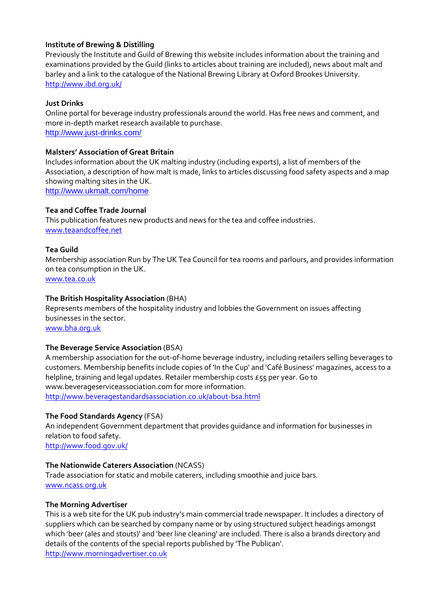#### **Institute of Brewing & Distilling**

Previously the Institute and Guild of Brewing this website includes information about the training and examinations provided by the Guild (links to articles about training are included), news about malt and barley and a link to the catalogue of the National Brewing Library at Oxford Brookes University. <http://www.ibd.org.uk/>

#### **Just Drinks**

Online portal for beverage industry professionals around the world. Has free news and comment, and more in-depth market research available to purchase. <http://www.just-drinks.com/>

#### **Malsters' Association of Great Britain**

Includes information about the UK malting industry (including exports), a list of members of the Association, a description of how malt is made, links to articles discussing food safety aspects and a map showing malting sites in the UK. <http://www.ukmalt.com/home>

#### **Tea and Coffee Trade Journal**

This publication features new products and news for the tea and coffee industries. [www.teaandcoffee.net](http://www.teaandcoffee.net/)

#### **Tea Guild**

Membership association Run by The UK Tea Council for tea rooms and parlours, and provides information on tea consumption in the UK.

[www.tea.co.uk](javascript:void(window.open()

#### **The British Hospitality Association** (BHA)

Represents members of the hospitality industry and lobbies the Government on issues affecting businesses in the sector. [www.bha.org.uk](javascript:void(window.open()

#### **The Beverage Service Association** (BSA)

A membership association for the out-of-home beverage industry, including retailers selling beverages to customers. Membership benefits include copies of 'In the Cup' and 'Café Business' magazines, access to a helpline, training and legal updates. Retailer membership costs £55 per year. Go to www.beverageserviceassociation.com for more information. <http://www.beveragestandardsassociation.co.uk/about-bsa.html>

#### **The Food Standards Agency** (FSA)

An independent Government department that provides guidance and information for businesses in relation to food safety. <http://www.food.gov.uk/>

#### **The Nationwide Caterers Association** (NCASS)

Trade association for static and mobile caterers, including smoothie and juice bars. [www.ncass.org.uk](http://www.ncass.org.uk/)

#### **The Morning Advertiser**

This is a web site for the UK pub industry's main commercial trade newspaper. It includes a directory of suppliers which can be searched by company name or by using structured subject headings amongst which 'beer (ales and stouts)' and 'beer line cleaning' are included. There is also a brands directory and details of the contents of the special reports published by 'The Publican'. [http://www.morningadvertiser.co.uk](http://www.morningadvertiser.co.uk/)